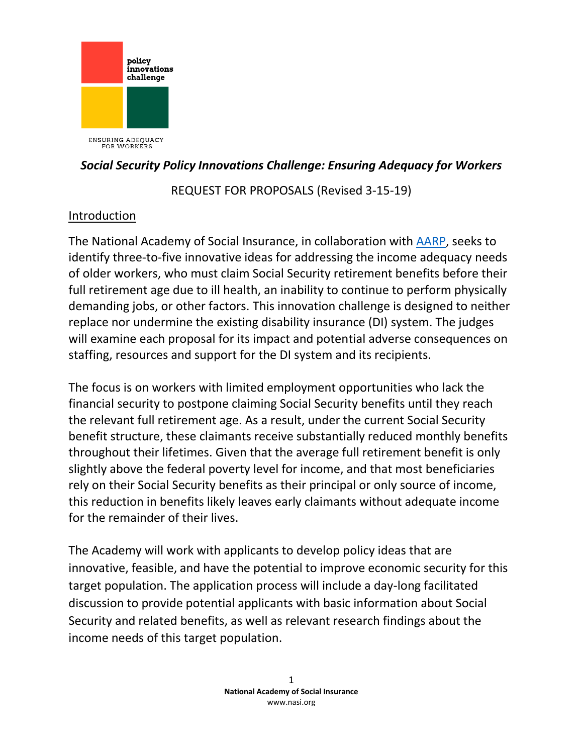

ENSURING ADEQUACY<br>FOR WORKERS

### *Social Security Policy Innovations Challenge: Ensuring Adequacy for Workers*

REQUEST FOR PROPOSALS (Revised 3-15-19)

## Introduction

The National Academy of Social Insurance, in collaboration with [AARP,](http://www.aarp.org/) seeks to identify three-to-five innovative ideas for addressing the income adequacy needs of older workers, who must claim Social Security retirement benefits before their full retirement age due to ill health, an inability to continue to perform physically demanding jobs, or other factors. This innovation challenge is designed to neither replace nor undermine the existing disability insurance (DI) system. The judges will examine each proposal for its impact and potential adverse consequences on staffing, resources and support for the DI system and its recipients.

The focus is on workers with limited employment opportunities who lack the financial security to postpone claiming Social Security benefits until they reach the relevant full retirement age. As a result, under the current Social Security benefit structure, these claimants receive substantially reduced monthly benefits throughout their lifetimes. Given that the average full retirement benefit is only slightly above the federal poverty level for income, and that most beneficiaries rely on their Social Security benefits as their principal or only source of income, this reduction in benefits likely leaves early claimants without adequate income for the remainder of their lives.

The Academy will work with applicants to develop policy ideas that are innovative, feasible, and have the potential to improve economic security for this target population. The application process will include a day-long facilitated discussion to provide potential applicants with basic information about Social Security and related benefits, as well as relevant research findings about the income needs of this target population.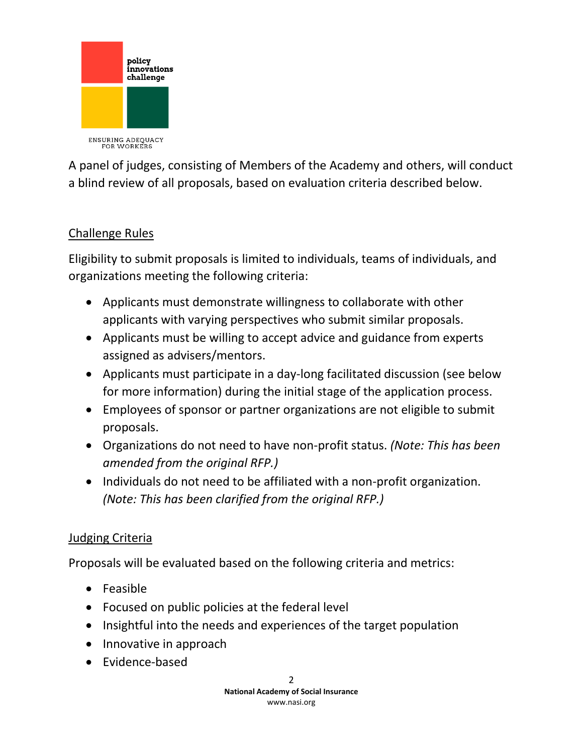

A panel of judges, consisting of Members of the Academy and others, will conduct a blind review of all proposals, based on evaluation criteria described below.

# Challenge Rules

Eligibility to submit proposals is limited to individuals, teams of individuals, and organizations meeting the following criteria:

- Applicants must demonstrate willingness to collaborate with other applicants with varying perspectives who submit similar proposals.
- Applicants must be willing to accept advice and guidance from experts assigned as advisers/mentors.
- Applicants must participate in a day-long facilitated discussion (see below for more information) during the initial stage of the application process.
- Employees of sponsor or partner organizations are not eligible to submit proposals.
- Organizations do not need to have non-profit status. *(Note: This has been amended from the original RFP.)*
- Individuals do not need to be affiliated with a non-profit organization. *(Note: This has been clarified from the original RFP.)*

## Judging Criteria

Proposals will be evaluated based on the following criteria and metrics:

- Feasible
- Focused on public policies at the federal level
- Insightful into the needs and experiences of the target population
- Innovative in approach
- Evidence-based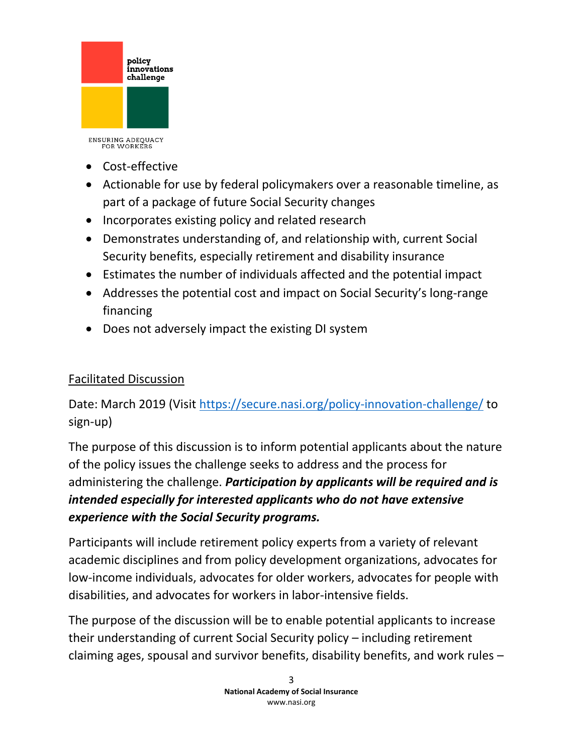

- Cost-effective
- Actionable for use by federal policymakers over a reasonable timeline, as part of a package of future Social Security changes
- Incorporates existing policy and related research
- Demonstrates understanding of, and relationship with, current Social Security benefits, especially retirement and disability insurance
- Estimates the number of individuals affected and the potential impact
- Addresses the potential cost and impact on Social Security's long-range financing
- Does not adversely impact the existing DI system

## Facilitated Discussion

Date: March 2019 (Visit<https://secure.nasi.org/policy-innovation-challenge/> to sign-up)

The purpose of this discussion is to inform potential applicants about the nature of the policy issues the challenge seeks to address and the process for administering the challenge. *Participation by applicants will be required and is intended especially for interested applicants who do not have extensive experience with the Social Security programs.*

Participants will include retirement policy experts from a variety of relevant academic disciplines and from policy development organizations, advocates for low-income individuals, advocates for older workers, advocates for people with disabilities, and advocates for workers in labor-intensive fields.

The purpose of the discussion will be to enable potential applicants to increase their understanding of current Social Security policy – including retirement claiming ages, spousal and survivor benefits, disability benefits, and work rules –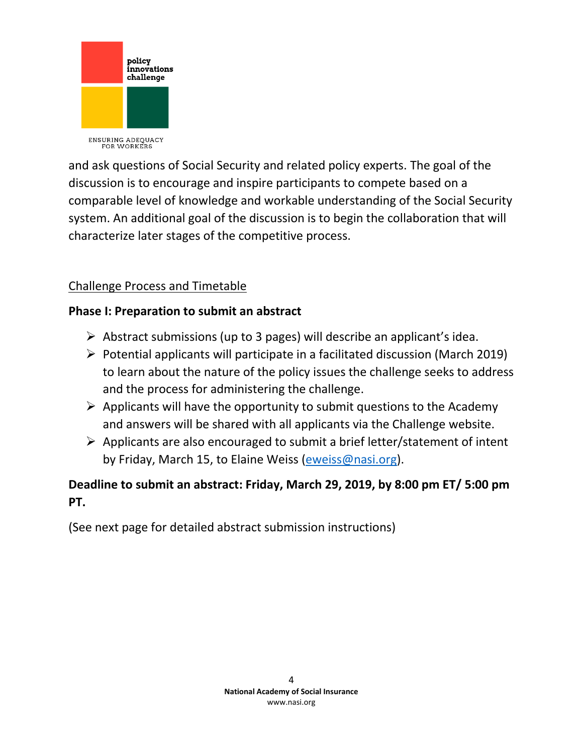

and ask questions of Social Security and related policy experts. The goal of the discussion is to encourage and inspire participants to compete based on a comparable level of knowledge and workable understanding of the Social Security system. An additional goal of the discussion is to begin the collaboration that will characterize later stages of the competitive process.

# Challenge Process and Timetable

## **Phase I: Preparation to submit an abstract**

- ➢ Abstract submissions (up to 3 pages) will describe an applicant's idea.
- $\triangleright$  Potential applicants will participate in a facilitated discussion (March 2019) to learn about the nature of the policy issues the challenge seeks to address and the process for administering the challenge.
- $\triangleright$  Applicants will have the opportunity to submit questions to the Academy and answers will be shared with all applicants via the Challenge website.
- ➢ Applicants are also encouraged to submit a brief letter/statement of intent by Friday, March 15, to Elaine Weiss [\(eweiss@nasi.org\)](mailto:eweiss@nasi.org).

# **Deadline to submit an abstract: Friday, March 29, 2019, by 8:00 pm ET/ 5:00 pm PT.**

(See next page for detailed abstract submission instructions)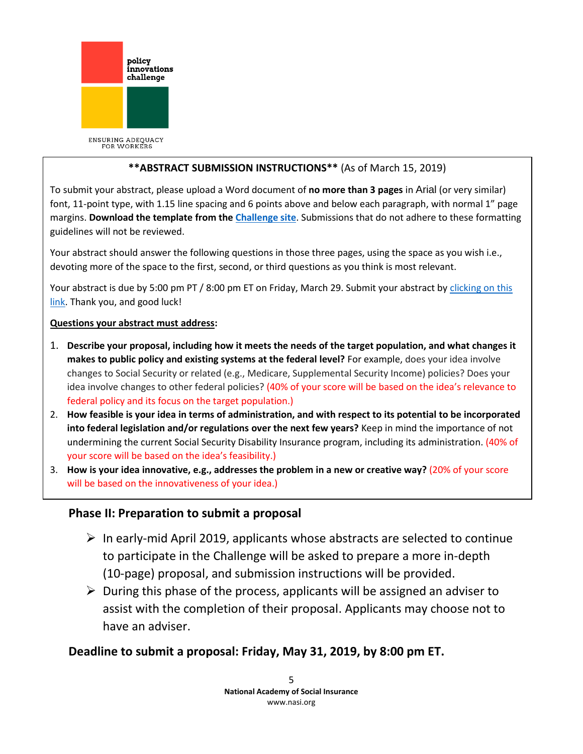

### **\*\*ABSTRACT SUBMISSION INSTRUCTIONS\*\*** (As of March 15, 2019)

To submit your abstract, please upload a Word document of **no more than 3 pages** in Arial (or very similar) font, 11-point type, with 1.15 line spacing and 6 points above and below each paragraph, with normal 1" page margins. **Download the template from the [Challenge site](https://secure.nasi.org/policy-innovation-challenge/)**. Submissions that do not adhere to these formatting guidelines will not be reviewed.

Your abstract should answer the following questions in those three pages, using the space as you wish i.e., devoting more of the space to the first, second, or third questions as you think is most relevant.

Your abstract is due by 5:00 pm PT / 8:00 pm ET on Friday, March 29. Submit your abstract b[y clicking on this](https://secure.nasi.org/submit-your-abstract/)  [link.](https://secure.nasi.org/submit-your-abstract/) Thank you, and good luck!

#### **Questions your abstract must address:**

- 1. **Describe your proposal, including how it meets the needs of the target population, and what changes it makes to public policy and existing systems at the federal level?** For example, does your idea involve changes to Social Security or related (e.g., Medicare, Supplemental Security Income) policies? Does your idea involve changes to other federal policies? (40% of your score will be based on the idea's relevance to federal policy and its focus on the target population.)
- 2. **How feasible is your idea in terms of administration, and with respect to its potential to be incorporated into federal legislation and/or regulations over the next few years?** Keep in mind the importance of not undermining the current Social Security Disability Insurance program, including its administration. (40% of your score will be based on the idea's feasibility.)
- 3. **How is your idea innovative, e.g., addresses the problem in a new or creative way?** (20% of your score will be based on the innovativeness of your idea.)

### **Phase II: Preparation to submit a proposal**

- $\triangleright$  In early-mid April 2019, applicants whose abstracts are selected to continue to participate in the Challenge will be asked to prepare a more in-depth (10-page) proposal, and submission instructions will be provided.
- $\triangleright$  During this phase of the process, applicants will be assigned an adviser to assist with the completion of their proposal. Applicants may choose not to have an adviser.

### **Deadline to submit a proposal: Friday, May 31, 2019, by 8:00 pm ET.**